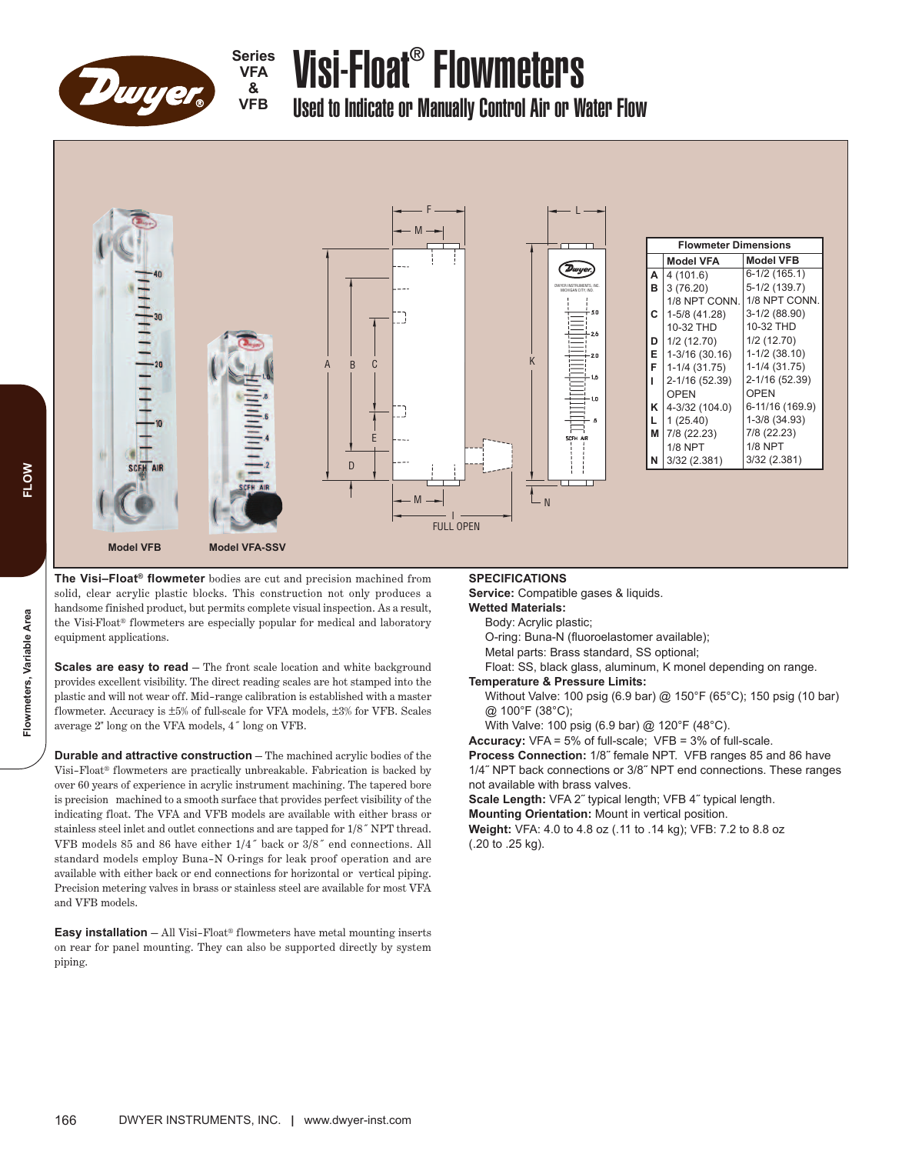

**Series VFA & VFB**

# Visi-Float ® Flowmeters

Used to Indicate or Manually Control Air or Water Flow



**The Visi–Float® flowmeter** bodies are cut and precision machined from solid, clear acrylic plastic blocks. This construction not only produces a handsome finished product, but permits complete visual inspection. As a result, the Visi-Float® flowmeters are especially popular for medical and laboratory equipment applications.

**Scales are easy to read** — The front scale location and white background provides excellent visibility. The direct reading scales are hot stamped into the plastic and will not wear off. Mid–range calibration is established with a master flowmeter. Accuracy is ±5% of full-scale for VFA models, ±3% for VFB. Scales average 2" long on the VFA models, 4˝ long on VFB.

**Durable and attractive construction** — The machined acrylic bodies of the Visi–Float® flowmeters are practically unbreakable. Fabrication is backed by over 60 years of experience in acrylic instrument machining. The tapered bore is precision machined to a smooth surface that provides perfect visibility of the indicating float. The VFA and VFB models are available with either brass or stainless steel inlet and outlet connections and are tapped for 1/8˝ NPT thread. VFB models 85 and 86 have either 1/4˝ back or 3/8˝ end connections. All standard models employ Buna–N O-rings for leak proof operation and are available with either back or end connections for horizontal or vertical piping. Precision metering valves in brass or stainless steel are available for most VFA and VFB models.

**Easy installation** — All Visi–Float® flowmeters have metal mounting inserts on rear for panel mounting. They can also be supported directly by system piping.

## **SPECIFICATIONS**

**Service:** Compatible gases & liquids.

**Wetted Materials:**

Body: Acrylic plastic;

O-ring: Buna-N (fluoroelastomer available);

Metal parts: Brass standard, SS optional;

Float: SS, black glass, aluminum, K monel depending on range.

### **Temperature & Pressure Limits:**

Without Valve: 100 psig (6.9 bar) @ 150°F (65°C); 150 psig (10 bar) @ 100°F (38°C);

With Valve: 100 psig (6.9 bar) @ 120°F (48°C).

**Accuracy:** VFA = 5% of full-scale; VFB = 3% of full-scale.

**Process Connection:** 1/8˝ female NPT. VFB ranges 85 and 86 have 1/4˝ NPT back connections or 3/8˝ NPT end connections. These ranges not available with brass valves.

**Scale Length:** VFA 2˝ typical length; VFB 4˝ typical length. **Mounting Orientation:** Mount in vertical position.

**Weight:** VFA: 4.0 to 4.8 oz (.11 to .14 kg); VFB: 7.2 to 8.8 oz (.20 to .25 kg).